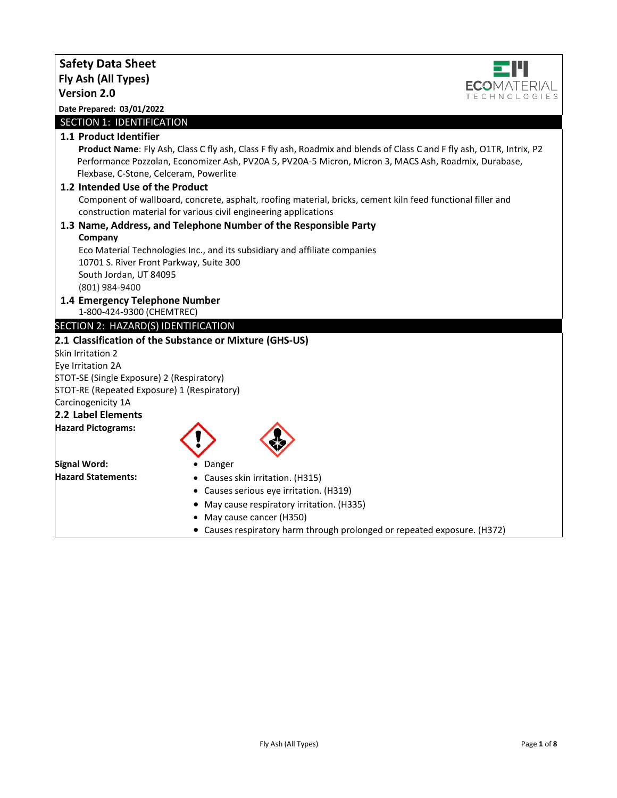| <b>Safety Data Sheet</b>                                    |                                                                                                                                                                                                                                 |                    |
|-------------------------------------------------------------|---------------------------------------------------------------------------------------------------------------------------------------------------------------------------------------------------------------------------------|--------------------|
| Fly Ash (All Types)                                         |                                                                                                                                                                                                                                 |                    |
| <b>Version 2.0</b>                                          |                                                                                                                                                                                                                                 | <b>ECOMATERIAL</b> |
| Date Prepared: 03/01/2022                                   |                                                                                                                                                                                                                                 |                    |
| SECTION 1: IDENTIFICATION                                   |                                                                                                                                                                                                                                 |                    |
| 1.1 Product Identifier                                      |                                                                                                                                                                                                                                 |                    |
| Flexbase, C-Stone, Celceram, Powerlite                      | Product Name: Fly Ash, Class C fly ash, Class F fly ash, Roadmix and blends of Class C and F fly ash, O1TR, Intrix, P2<br>Performance Pozzolan, Economizer Ash, PV20A 5, PV20A-5 Micron, Micron 3, MACS Ash, Roadmix, Durabase, |                    |
| 1.2 Intended Use of the Product                             |                                                                                                                                                                                                                                 |                    |
|                                                             | Component of wallboard, concrete, asphalt, roofing material, bricks, cement kiln feed functional filler and<br>construction material for various civil engineering applications                                                 |                    |
|                                                             | 1.3 Name, Address, and Telephone Number of the Responsible Party                                                                                                                                                                |                    |
| Company                                                     |                                                                                                                                                                                                                                 |                    |
|                                                             | Eco Material Technologies Inc., and its subsidiary and affiliate companies                                                                                                                                                      |                    |
| 10701 S. River Front Parkway, Suite 300                     |                                                                                                                                                                                                                                 |                    |
| South Jordan, UT 84095                                      |                                                                                                                                                                                                                                 |                    |
| (801) 984-9400                                              |                                                                                                                                                                                                                                 |                    |
| 1.4 Emergency Telephone Number<br>1-800-424-9300 (CHEMTREC) |                                                                                                                                                                                                                                 |                    |
| SECTION 2: HAZARD(S) IDENTIFICATION                         |                                                                                                                                                                                                                                 |                    |
|                                                             | 2.1 Classification of the Substance or Mixture (GHS-US)                                                                                                                                                                         |                    |
| Skin Irritation 2                                           |                                                                                                                                                                                                                                 |                    |
| Eye Irritation 2A                                           |                                                                                                                                                                                                                                 |                    |
| STOT-SE (Single Exposure) 2 (Respiratory)                   |                                                                                                                                                                                                                                 |                    |
| STOT-RE (Repeated Exposure) 1 (Respiratory)                 |                                                                                                                                                                                                                                 |                    |
| Carcinogenicity 1A                                          |                                                                                                                                                                                                                                 |                    |
| 2.2 Label Elements                                          |                                                                                                                                                                                                                                 |                    |
| <b>Hazard Pictograms:</b>                                   |                                                                                                                                                                                                                                 |                    |
| Signal Word:                                                | Danger                                                                                                                                                                                                                          |                    |
| <b>Hazard Statements:</b>                                   | • Causes skin irritation. (H315)                                                                                                                                                                                                |                    |
|                                                             | • Causes serious eye irritation. (H319)                                                                                                                                                                                         |                    |
|                                                             | • May cause respiratory irritation. (H335)                                                                                                                                                                                      |                    |
|                                                             | May cause cancer (H350)                                                                                                                                                                                                         |                    |
|                                                             | • Causes respiratory harm through prolonged or repeated exposure. (H372)                                                                                                                                                        |                    |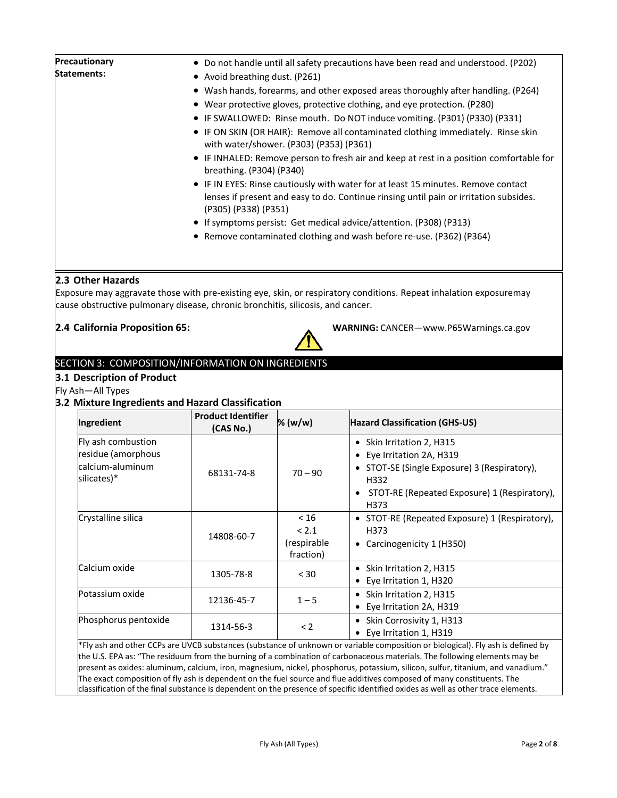| Precautionary | • Do not handle until all safety precautions have been read and understood. (P202)                                                                                                                 |
|---------------|----------------------------------------------------------------------------------------------------------------------------------------------------------------------------------------------------|
| Statements:   | • Avoid breathing dust. (P261)                                                                                                                                                                     |
|               | • Wash hands, forearms, and other exposed areas thoroughly after handling. (P264)                                                                                                                  |
|               | • Wear protective gloves, protective clothing, and eye protection. $(P280)$                                                                                                                        |
|               | • IF SWALLOWED: Rinse mouth. Do NOT induce vomiting. (P301) (P330) (P331)                                                                                                                          |
|               | • IF ON SKIN (OR HAIR): Remove all contaminated clothing immediately. Rinse skin<br>with water/shower. (P303) (P353) (P361)                                                                        |
|               | • IF INHALED: Remove person to fresh air and keep at rest in a position comfortable for<br>breathing. (P304) (P340)                                                                                |
|               | • IF IN EYES: Rinse cautiously with water for at least 15 minutes. Remove contact<br>lenses if present and easy to do. Continue rinsing until pain or irritation subsides.<br>(P305) (P338) (P351) |
|               | • If symptoms persist: Get medical advice/attention. (P308) (P313)                                                                                                                                 |
|               | • Remove contaminated clothing and wash before re-use. (P362) (P364)                                                                                                                               |
|               |                                                                                                                                                                                                    |
|               |                                                                                                                                                                                                    |

# **2.3 Other Hazards**

Exposure may aggravate those with pre-existing eye, skin, or respiratory conditions. Repeat inhalation exposuremay cause obstructive pulmonary disease, chronic bronchitis, silicosis, and cancer.



**2.4 California Proposition 65: WARNING:** CANCER—[www.P65Warnings.ca.gov](http://www.p65warnings.ca.gov/) 

# SECTION 3: COMPOSITION/INFORMATION ON INGREDIENTS

**3.1 Description of Product**

Fly Ash—All Types

# **3.2 Mixture Ingredients and Hazard Classification**

| Ingredient                                                                   | <b>Product Identifier</b><br>(CAS No.) | % (w/w)                                   | <b>Hazard Classification (GHS-US)</b>                                                                                                                                                                 |  |
|------------------------------------------------------------------------------|----------------------------------------|-------------------------------------------|-------------------------------------------------------------------------------------------------------------------------------------------------------------------------------------------------------|--|
| Fly ash combustion<br>residue (amorphous<br>lcalcium-aluminum<br>silicates)* | 68131-74-8                             | $70 - 90$                                 | • Skin Irritation 2, H315<br>Eye Irritation 2A, H319<br>$\bullet$<br>• STOT-SE (Single Exposure) 3 (Respiratory),<br>H332<br>STOT-RE (Repeated Exposure) 1 (Respiratory),<br>$\bullet$<br>H373        |  |
| Crystalline silica                                                           | 14808-60-7                             | < 16<br>< 2.1<br>(respirable<br>fraction) | • STOT-RE (Repeated Exposure) 1 (Respiratory),<br>H373<br>• Carcinogenicity $1$ (H350)                                                                                                                |  |
| Calcium oxide                                                                | 1305-78-8                              | < 30                                      | Skin Irritation 2, H315<br>$\bullet$<br>Eye Irritation 1, H320<br>$\bullet$                                                                                                                           |  |
| Potassium oxide                                                              | 12136-45-7                             | $1 - 5$                                   | Skin Irritation 2, H315<br>٠<br>• Eye Irritation 2A, H319                                                                                                                                             |  |
| Phosphorus pentoxide                                                         | 1314-56-3                              | < 2                                       | Skin Corrosivity 1, H313<br>$\bullet$<br>• Eye Irritation 1, H319<br>$*$ Fluggh and other CCDs are UVCD substances (substance of unknown ary prioble composition ar biological). Fluggh is defined by |  |

\*Fly ash and other CCPs are UVCB substances (substance of unknown or variable composition or biological). Fly ash is defined by the U.S. EPA as: "The residuum from the burning of a combination of carbonaceous materials. The following elements may be present as oxides: aluminum, calcium, iron, magnesium, nickel, phosphorus, potassium, silicon, sulfur, titanium, and vanadium." The exact composition of fly ash is dependent on the fuel source and flue additives composed of many constituents. The classification of the final substance is dependent on the presence of specific identified oxides as well as other trace elements.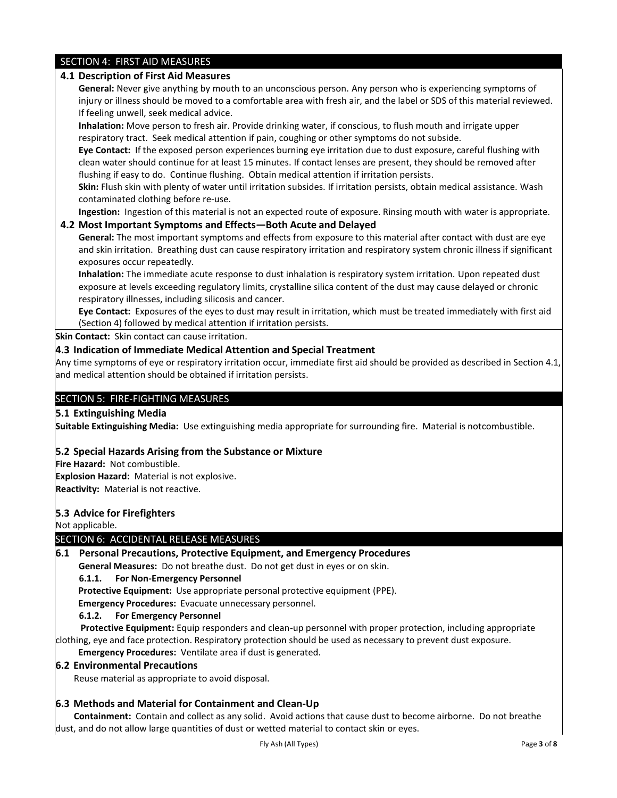# SECTION 4: FIRST AID MEASURES

# **4.1 Description of First Aid Measures**

**General:** Never give anything by mouth to an unconscious person. Any person who is experiencing symptoms of injury or illness should be moved to a comfortable area with fresh air, and the label or SDS of this material reviewed. If feeling unwell, seek medical advice.

**Inhalation:** Move person to fresh air. Provide drinking water, if conscious, to flush mouth and irrigate upper respiratory tract. Seek medical attention if pain, coughing or other symptoms do not subside.

**Eye Contact:** If the exposed person experiences burning eye irritation due to dust exposure, careful flushing with clean water should continue for at least 15 minutes. If contact lenses are present, they should be removed after flushing if easy to do. Continue flushing. Obtain medical attention if irritation persists.

**Skin:** Flush skin with plenty of water until irritation subsides. If irritation persists, obtain medical assistance. Wash contaminated clothing before re-use.

**Ingestion:** Ingestion of this material is not an expected route of exposure. Rinsing mouth with water is appropriate.

### **4.2 Most Important Symptoms and Effects—Both Acute and Delayed**

**General:** The most important symptoms and effects from exposure to this material after contact with dust are eye and skin irritation. Breathing dust can cause respiratory irritation and respiratory system chronic illness if significant exposures occur repeatedly.

**Inhalation:** The immediate acute response to dust inhalation is respiratory system irritation. Upon repeated dust exposure at levels exceeding regulatory limits, crystalline silica content of the dust may cause delayed or chronic respiratory illnesses, including silicosis and cancer.

**Eye Contact:** Exposures of the eyes to dust may result in irritation, which must be treated immediately with first aid (Section 4) followed by medical attention if irritation persists.

**Skin Contact:** Skin contact can cause irritation.

# **4.3 Indication of Immediate Medical Attention and Special Treatment**

Any time symptoms of eye or respiratory irritation occur, immediate first aid should be provided as described in Section 4.1, and medical attention should be obtained if irritation persists.

## SECTION 5: FIRE-FIGHTING MEASURES

#### **5.1 Extinguishing Media**

**Suitable Extinguishing Media:** Use extinguishing media appropriate for surrounding fire. Material is notcombustible.

### **5.2 Special Hazards Arising from the Substance or Mixture**

**Fire Hazard:** Not combustible. **Explosion Hazard:** Material is not explosive. **Reactivity:** Material is not reactive.

#### **5.3 Advice for Firefighters**

Not applicable.

### SECTION 6: ACCIDENTAL RELEASE MEASURES

#### **6.1 Personal Precautions, Protective Equipment, and Emergency Procedures**

 **General Measures:** Do not breathe dust. Do not get dust in eyes or on skin.

**6.1.1. For Non-Emergency Personnel**

 **Protective Equipment:** Use appropriate personal protective equipment (PPE).

 **Emergency Procedures:** Evacuate unnecessary personnel.

**6.1.2. For Emergency Personnel**

 **Protective Equipment:** Equip responders and clean-up personnel with proper protection, including appropriate clothing, eye and face protection. Respiratory protection should be used as necessary to prevent dust exposure.

 **Emergency Procedures:** Ventilate area if dust is generated.

## **6.2 Environmental Precautions**

Reuse material as appropriate to avoid disposal.

### **6.3 Methods and Material for Containment and Clean-Up**

 **Containment:** Contain and collect as any solid. Avoid actions that cause dust to become airborne. Do not breathe dust, and do not allow large quantities of dust or wetted material to contact skin or eyes.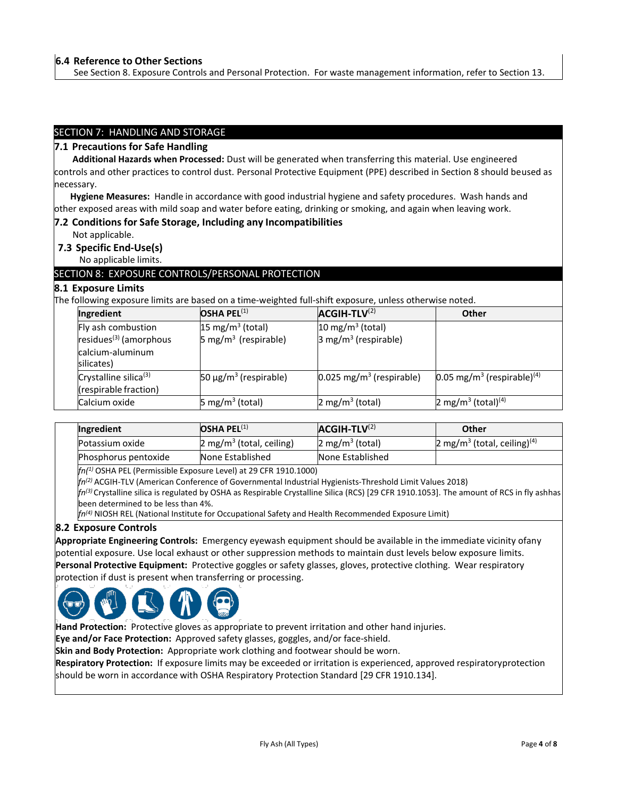See Section 8. Exposure Controls and Personal Protection. For waste management information, refer to Section 13.

## SECTION 7: HANDLING AND STORAGE

#### **7.1 Precautions for Safe Handling**

 **Additional Hazards when Processed:** Dust will be generated when transferring this material. Use engineered controls and other practices to control dust. Personal Protective Equipment (PPE) described in Section 8 should beused as necessary.

 **Hygiene Measures:** Handle in accordance with good industrial hygiene and safety procedures. Wash hands and other exposed areas with mild soap and water before eating, drinking or smoking, and again when leaving work.

#### **7.2 Conditions for Safe Storage, Including any Incompatibilities**

Not applicable.

**7.3 Specific End-Use(s)**

No applicable limits.

#### SECTION 8: EXPOSURE CONTROLS/PERSONAL PROTECTION

#### **8.1 Exposure Limits**

The following exposure limits are based on a time-weighted full-shift exposure, unless otherwise noted.

| Ingredient                                                                                 | OSHA PEL $(1)$                                                 | $ACGIH-TLV(2)$                                                    | <b>Other</b>                                         |
|--------------------------------------------------------------------------------------------|----------------------------------------------------------------|-------------------------------------------------------------------|------------------------------------------------------|
| Fly ash combustion<br>residues <sup>(3)</sup> (amorphous<br>calcium-aluminum<br>silicates) | $15 \text{ mg/m}^3$ (total)<br>$5 \text{ mg/m}^3$ (respirable) | $10 \text{ mg/m}^3$ (total)<br>$3$ mg/m <sup>3</sup> (respirable) |                                                      |
| Crystalline silica <sup>(3)</sup><br>(respirable fraction)                                 | $50 \mu g/m^3$ (respirable)                                    | $0.025$ mg/m <sup>3</sup> (respirable)                            | $0.05$ mg/m <sup>3</sup> (respirable) <sup>(4)</sup> |
| Calcium oxide                                                                              | $5 \text{ mg/m}^3$ (total)                                     | $2 \text{ mg/m}^3$ (total)                                        | 2 mg/m <sup>3</sup> (total) <sup>(4)</sup>           |

| Ingredient           | $OSHA$ PEL $^{(1)}$                 | $ACGIH-TLV(2)$                | Other                                              |
|----------------------|-------------------------------------|-------------------------------|----------------------------------------------------|
| Potassium oxide      | $2 \text{ mg/m}^3$ (total, ceiling) | $2$ mg/m <sup>3</sup> (total) | $2 \text{ mg/m}^3$ (total, ceiling) <sup>(4)</sup> |
| Phosphorus pentoxide | None Established                    | None Established              |                                                    |

*fn(1)* OSHA PEL (Permissible Exposure Level) at 29 CFR 1910.1000)

*fn(2)* ACGIH-TLV (American Conference of Governmental Industrial Hygienists-Threshold Limit Values 2018)

*fn(3)* Crystalline silica is regulated by OSHA as Respirable Crystalline Silica (RCS) [29 CFR 1910.1053]. The amount of RCS in fly ashhas been determined to be less than 4%.

*fn(4)* NIOSH REL (National Institute for Occupational Safety and Health Recommended Exposure Limit)

#### **8.2 Exposure Controls**

**Appropriate Engineering Controls:** Emergency eyewash equipment should be available in the immediate vicinity ofany potential exposure. Use local exhaust or other suppression methods to maintain dust levels below exposure limits. **Personal Protective Equipment:** Protective goggles or safety glasses, gloves, protective clothing. Wear respiratory protection if dust is present when transferring or processing.



**Hand Protection:** Protective gloves as appropriate to prevent irritation and other hand injuries.

**Eye and/or Face Protection:** Approved safety glasses, goggles, and/or face-shield.

**Skin and Body Protection:** Appropriate work clothing and footwear should be worn.

**Respiratory Protection:** If exposure limits may be exceeded or irritation is experienced, approved respiratoryprotection should be worn in accordance with OSHA Respiratory Protection Standard [29 CFR 1910.134].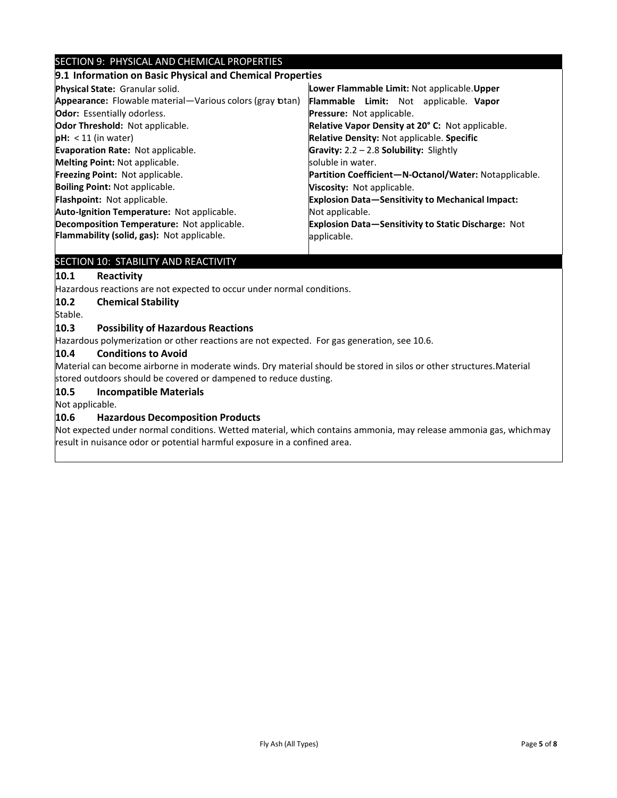# SECTION 9: PHYSICAL AND CHEMICAL PROPERTIES

# **9.1 Information on Basic Physical and Chemical Properties**

| Physical State: Granular solid.                           | Lower Flammable Limit: Not applicable. Upper               |  |  |
|-----------------------------------------------------------|------------------------------------------------------------|--|--|
| Appearance: Flowable material-Various colors (gray totan) | <b>Flammable Limit:</b> Not applicable. Vapor              |  |  |
| <b>Odor:</b> Essentially odorless.                        | <b>Pressure:</b> Not applicable.                           |  |  |
| Odor Threshold: Not applicable.                           | Relative Vapor Density at 20° C: Not applicable.           |  |  |
| $pH: < 11$ (in water)                                     | <b>Relative Density: Not applicable. Specific</b>          |  |  |
| <b>Evaporation Rate: Not applicable.</b>                  | Gravity: $2.2 - 2.8$ Solubility: Slightly                  |  |  |
| <b>Melting Point: Not applicable.</b>                     | soluble in water.                                          |  |  |
| <b>Freezing Point: Not applicable.</b>                    | Partition Coefficient-N-Octanol/Water: Notapplicable.      |  |  |
| <b>Boiling Point: Not applicable.</b>                     | Viscosity: Not applicable.                                 |  |  |
| <b>Flashpoint:</b> Not applicable.                        | <b>Explosion Data-Sensitivity to Mechanical Impact:</b>    |  |  |
| Auto-Ignition Temperature: Not applicable.                | Not applicable.                                            |  |  |
| Decomposition Temperature: Not applicable.                | <b>Explosion Data-Sensitivity to Static Discharge: Not</b> |  |  |
| Flammability (solid, gas): Not applicable.                | applicable.                                                |  |  |
|                                                           |                                                            |  |  |

# SECTION 10: STABILITY AND REACTIVITY

### **10.1 Reactivity**

Hazardous reactions are not expected to occur under normal conditions.

### **10.2 Chemical Stability**

Stable.

# **10.3 Possibility of Hazardous Reactions**

Hazardous polymerization or other reactions are not expected. For gas generation, see 10.6.

#### **10.4 Conditions to Avoid**

Material can become airborne in moderate winds. Dry material should be stored in silos or other structures.Material stored outdoors should be covered or dampened to reduce dusting.

#### **10.5 Incompatible Materials**

Not applicable.

### **10.6 Hazardous Decomposition Products**

Not expected under normal conditions. Wetted material, which contains ammonia, may release ammonia gas, whichmay result in nuisance odor or potential harmful exposure in a confined area.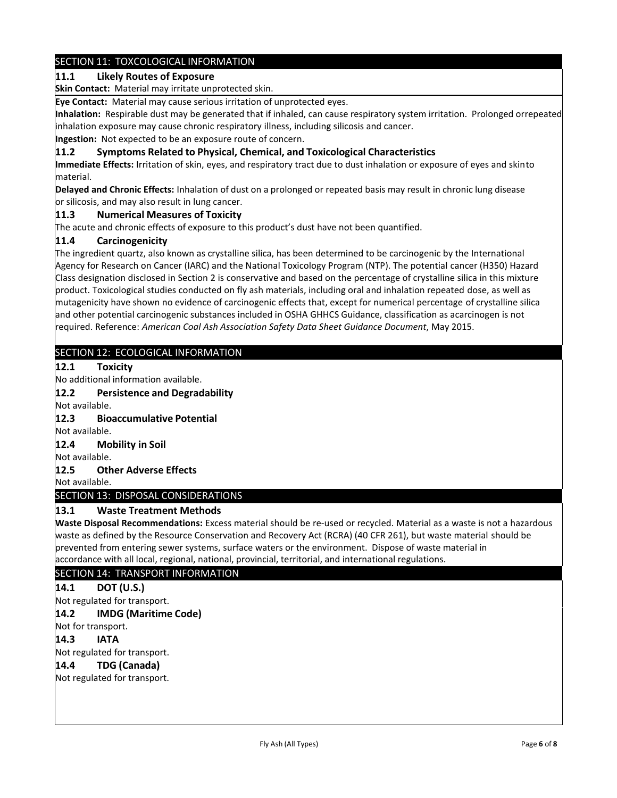# SECTION 11: TOXCOLOGICAL INFORMATION

# **11.1 Likely Routes of Exposure**

**Skin Contact:** Material may irritate unprotected skin.

**Eye Contact:** Material may cause serious irritation of unprotected eyes.

**Inhalation:** Respirable dust may be generated that if inhaled, can cause respiratory system irritation. Prolonged orrepeated inhalation exposure may cause chronic respiratory illness, including silicosis and cancer.

**Ingestion:** Not expected to be an exposure route of concern.

### **11.2 Symptoms Related to Physical, Chemical, and Toxicological Characteristics**

**Immediate Effects:** Irritation of skin, eyes, and respiratory tract due to dust inhalation or exposure of eyes and skinto material.

**Delayed and Chronic Effects:** Inhalation of dust on a prolonged or repeated basis may result in chronic lung disease or silicosis, and may also result in lung cancer.

### **11.3 Numerical Measures of Toxicity**

The acute and chronic effects of exposure to this product's dust have not been quantified.

## **11.4 Carcinogenicity**

The ingredient quartz, also known as crystalline silica, has been determined to be carcinogenic by the International Agency for Research on Cancer (IARC) and the National Toxicology Program (NTP). The potential cancer (H350) Hazard Class designation disclosed in Section 2 is conservative and based on the percentage of crystalline silica in this mixture product. Toxicological studies conducted on fly ash materials, including oral and inhalation repeated dose, as well as mutagenicity have shown no evidence of carcinogenic effects that, except for numerical percentage of crystalline silica and other potential carcinogenic substances included in OSHA GHHCS Guidance, classification as acarcinogen is not required. Reference: *American Coal Ash Association Safety Data Sheet Guidance Document*, May 2015.

# SECTION 12: ECOLOGICAL INFORMATION

## **12.1 Toxicity**

No additional information available.

### **12.2 Persistence and Degradability**

Not available.

### **12.3 Bioaccumulative Potential**

Not available.

### **12.4 Mobility in Soil**

Not available.

### **12.5 Other Adverse Effects**

Not available.

### SECTION 13: DISPOSAL CONSIDERATIONS

# **13.1 Waste Treatment Methods**

**Waste Disposal Recommendations:** Excess material should be re-used or recycled. Material as a waste is not a hazardous waste as defined by the Resource Conservation and Recovery Act (RCRA) (40 CFR 261), but waste material should be prevented from entering sewer systems, surface waters or the environment. Dispose of waste material in accordance with all local, regional, national, provincial, territorial, and international regulations.

### SECTION 14: TRANSPORT INFORMATION

## **14.1 DOT (U.S.)**

Not regulated for transport.

### **14.2 IMDG (Maritime Code)**

Not for transport.

# **14.3 IATA**

Not regulated for transport.

### **14.4 TDG (Canada)**

Not regulated for transport.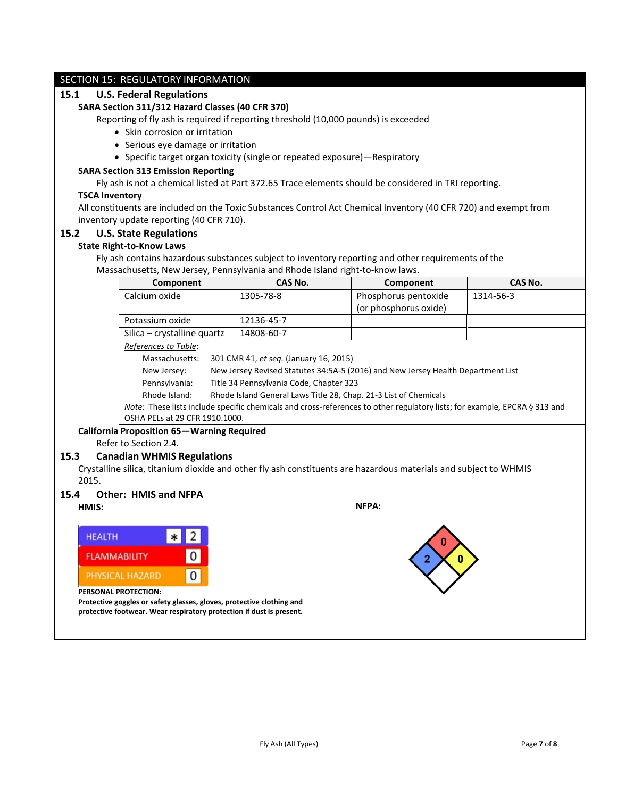|                                                                                                                                               | SECTION 15: REGULATORY INFORMATION                                                                                                                          |                                         |                                                                                                                   |                |
|-----------------------------------------------------------------------------------------------------------------------------------------------|-------------------------------------------------------------------------------------------------------------------------------------------------------------|-----------------------------------------|-------------------------------------------------------------------------------------------------------------------|----------------|
| 15.1                                                                                                                                          | <b>U.S. Federal Regulations</b>                                                                                                                             |                                         |                                                                                                                   |                |
| SARA Section 311/312 Hazard Classes (40 CFR 370)                                                                                              |                                                                                                                                                             |                                         |                                                                                                                   |                |
|                                                                                                                                               | Reporting of fly ash is required if reporting threshold (10,000 pounds) is exceeded                                                                         |                                         |                                                                                                                   |                |
|                                                                                                                                               | • Skin corrosion or irritation                                                                                                                              |                                         |                                                                                                                   |                |
|                                                                                                                                               |                                                                                                                                                             |                                         |                                                                                                                   |                |
|                                                                                                                                               | • Serious eye damage or irritation                                                                                                                          |                                         |                                                                                                                   |                |
|                                                                                                                                               | • Specific target organ toxicity (single or repeated exposure)-Respiratory                                                                                  |                                         |                                                                                                                   |                |
|                                                                                                                                               | <b>SARA Section 313 Emission Reporting</b>                                                                                                                  |                                         |                                                                                                                   |                |
|                                                                                                                                               |                                                                                                                                                             |                                         | Fly ash is not a chemical listed at Part 372.65 Trace elements should be considered in TRI reporting.             |                |
| <b>TSCA Inventory</b>                                                                                                                         |                                                                                                                                                             |                                         |                                                                                                                   |                |
|                                                                                                                                               |                                                                                                                                                             |                                         | All constituents are included on the Toxic Substances Control Act Chemical Inventory (40 CFR 720) and exempt from |                |
|                                                                                                                                               | inventory update reporting (40 CFR 710).                                                                                                                    |                                         |                                                                                                                   |                |
| 15.2                                                                                                                                          | <b>U.S. State Regulations</b>                                                                                                                               |                                         |                                                                                                                   |                |
|                                                                                                                                               | <b>State Right-to-Know Laws</b>                                                                                                                             |                                         |                                                                                                                   |                |
|                                                                                                                                               | Massachusetts, New Jersey, Pennsylvania and Rhode Island right-to-know laws.                                                                                |                                         | Fly ash contains hazardous substances subject to inventory reporting and other requirements of the                |                |
|                                                                                                                                               |                                                                                                                                                             |                                         |                                                                                                                   | <b>CAS No.</b> |
|                                                                                                                                               | Component                                                                                                                                                   | CAS No.                                 | Component                                                                                                         |                |
|                                                                                                                                               | Calcium oxide                                                                                                                                               | 1305-78-8                               | Phosphorus pentoxide<br>(or phosphorus oxide)                                                                     | 1314-56-3      |
|                                                                                                                                               | Potassium oxide                                                                                                                                             | 12136-45-7                              |                                                                                                                   |                |
|                                                                                                                                               | Silica - crystalline quartz                                                                                                                                 | 14808-60-7                              |                                                                                                                   |                |
|                                                                                                                                               | References to Table:                                                                                                                                        |                                         |                                                                                                                   |                |
|                                                                                                                                               | Massachusetts:                                                                                                                                              | 301 CMR 41, et seq. (January 16, 2015)  |                                                                                                                   |                |
|                                                                                                                                               | New Jersey:                                                                                                                                                 |                                         | New Jersey Revised Statutes 34:5A-5 (2016) and New Jersey Health Department List                                  |                |
|                                                                                                                                               | Pennsylvania:                                                                                                                                               | Title 34 Pennsylvania Code, Chapter 323 |                                                                                                                   |                |
|                                                                                                                                               | Rhode Island General Laws Title 28, Chap. 21-3 List of Chemicals<br>Rhode Island:                                                                           |                                         |                                                                                                                   |                |
|                                                                                                                                               | Note: These lists include specific chemicals and cross-references to other regulatory lists; for example, EPCRA § 313 and<br>OSHA PELs at 29 CFR 1910.1000. |                                         |                                                                                                                   |                |
|                                                                                                                                               | <b>California Proposition 65-Warning Required</b>                                                                                                           |                                         |                                                                                                                   |                |
|                                                                                                                                               | Refer to Section 2.4.                                                                                                                                       |                                         |                                                                                                                   |                |
| 15.3                                                                                                                                          | <b>Canadian WHMIS Regulations</b>                                                                                                                           |                                         |                                                                                                                   |                |
|                                                                                                                                               |                                                                                                                                                             |                                         | Crystalline silica, titanium dioxide and other fly ash constituents are hazardous materials and subject to WHMIS  |                |
| 2015.                                                                                                                                         |                                                                                                                                                             |                                         |                                                                                                                   |                |
|                                                                                                                                               | <b>Other: HMIS and NFPA</b>                                                                                                                                 |                                         |                                                                                                                   |                |
| 15.4                                                                                                                                          |                                                                                                                                                             |                                         |                                                                                                                   |                |
| HMIS:                                                                                                                                         |                                                                                                                                                             |                                         | NFPA:                                                                                                             |                |
|                                                                                                                                               |                                                                                                                                                             |                                         |                                                                                                                   |                |
| <b>HEALTH</b>                                                                                                                                 | $\ast$                                                                                                                                                      |                                         |                                                                                                                   |                |
|                                                                                                                                               |                                                                                                                                                             |                                         |                                                                                                                   |                |
| $\overline{0}$<br><b>FLAMMABILITY</b>                                                                                                         |                                                                                                                                                             |                                         | 0                                                                                                                 |                |
| PHYSICAL HAZARD<br>$\mathbf{0}$                                                                                                               |                                                                                                                                                             |                                         |                                                                                                                   |                |
|                                                                                                                                               |                                                                                                                                                             |                                         |                                                                                                                   |                |
| PERSONAL PROTECTION:                                                                                                                          |                                                                                                                                                             |                                         |                                                                                                                   |                |
| Protective goggles or safety glasses, gloves, protective clothing and<br>protective footwear. Wear respiratory protection if dust is present. |                                                                                                                                                             |                                         |                                                                                                                   |                |
|                                                                                                                                               |                                                                                                                                                             |                                         |                                                                                                                   |                |
|                                                                                                                                               |                                                                                                                                                             |                                         |                                                                                                                   |                |
|                                                                                                                                               |                                                                                                                                                             |                                         |                                                                                                                   |                |